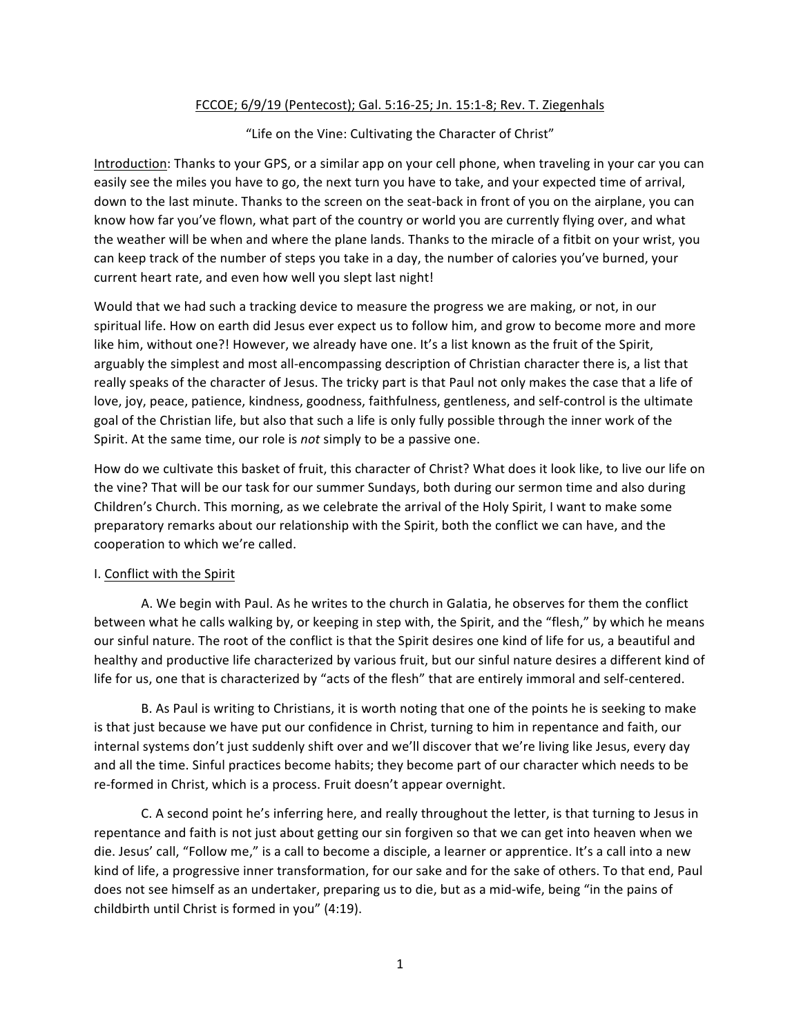## FCCOE; 6/9/19 (Pentecost); Gal. 5:16-25; Jn. 15:1-8; Rev. T. Ziegenhals

"Life on the Vine: Cultivating the Character of Christ"

Introduction: Thanks to your GPS, or a similar app on your cell phone, when traveling in your car you can easily see the miles you have to go, the next turn you have to take, and your expected time of arrival, down to the last minute. Thanks to the screen on the seat-back in front of you on the airplane, you can know how far you've flown, what part of the country or world you are currently flying over, and what the weather will be when and where the plane lands. Thanks to the miracle of a fitbit on your wrist, you can keep track of the number of steps you take in a day, the number of calories you've burned, your current heart rate, and even how well you slept last night!

Would that we had such a tracking device to measure the progress we are making, or not, in our spiritual life. How on earth did Jesus ever expect us to follow him, and grow to become more and more like him, without one?! However, we already have one. It's a list known as the fruit of the Spirit, arguably the simplest and most all-encompassing description of Christian character there is, a list that really speaks of the character of Jesus. The tricky part is that Paul not only makes the case that a life of love, joy, peace, patience, kindness, goodness, faithfulness, gentleness, and self-control is the ultimate goal of the Christian life, but also that such a life is only fully possible through the inner work of the Spirit. At the same time, our role is *not* simply to be a passive one.

How do we cultivate this basket of fruit, this character of Christ? What does it look like, to live our life on the vine? That will be our task for our summer Sundays, both during our sermon time and also during Children's Church. This morning, as we celebrate the arrival of the Holy Spirit, I want to make some preparatory remarks about our relationship with the Spirit, both the conflict we can have, and the cooperation to which we're called.

## I. Conflict with the Spirit

A. We begin with Paul. As he writes to the church in Galatia, he observes for them the conflict between what he calls walking by, or keeping in step with, the Spirit, and the "flesh," by which he means our sinful nature. The root of the conflict is that the Spirit desires one kind of life for us, a beautiful and healthy and productive life characterized by various fruit, but our sinful nature desires a different kind of life for us, one that is characterized by "acts of the flesh" that are entirely immoral and self-centered.

B. As Paul is writing to Christians, it is worth noting that one of the points he is seeking to make is that just because we have put our confidence in Christ, turning to him in repentance and faith, our internal systems don't just suddenly shift over and we'll discover that we're living like Jesus, every day and all the time. Sinful practices become habits; they become part of our character which needs to be re-formed in Christ, which is a process. Fruit doesn't appear overnight.

C. A second point he's inferring here, and really throughout the letter, is that turning to Jesus in repentance and faith is not just about getting our sin forgiven so that we can get into heaven when we die. Jesus' call, "Follow me," is a call to become a disciple, a learner or apprentice. It's a call into a new kind of life, a progressive inner transformation, for our sake and for the sake of others. To that end, Paul does not see himself as an undertaker, preparing us to die, but as a mid-wife, being "in the pains of childbirth until Christ is formed in you"  $(4:19)$ .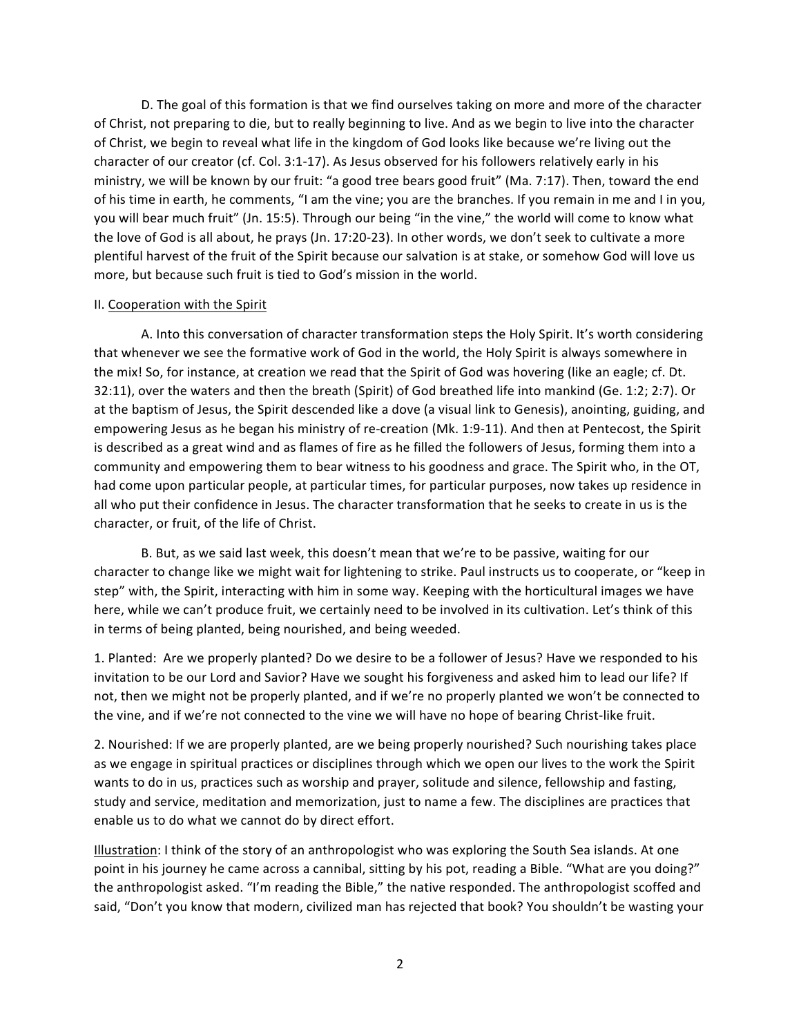D. The goal of this formation is that we find ourselves taking on more and more of the character of Christ, not preparing to die, but to really beginning to live. And as we begin to live into the character of Christ, we begin to reveal what life in the kingdom of God looks like because we're living out the character of our creator (cf. Col. 3:1-17). As Jesus observed for his followers relatively early in his ministry, we will be known by our fruit: "a good tree bears good fruit" (Ma. 7:17). Then, toward the end of his time in earth, he comments, "I am the vine; you are the branches. If you remain in me and I in you, you will bear much fruit" (Jn. 15:5). Through our being "in the vine," the world will come to know what the love of God is all about, he prays (Jn. 17:20-23). In other words, we don't seek to cultivate a more plentiful harvest of the fruit of the Spirit because our salvation is at stake, or somehow God will love us more, but because such fruit is tied to God's mission in the world.

## II. Cooperation with the Spirit

A. Into this conversation of character transformation steps the Holy Spirit. It's worth considering that whenever we see the formative work of God in the world, the Holy Spirit is always somewhere in the mix! So, for instance, at creation we read that the Spirit of God was hovering (like an eagle; cf. Dt. 32:11), over the waters and then the breath (Spirit) of God breathed life into mankind (Ge. 1:2; 2:7). Or at the baptism of Jesus, the Spirit descended like a dove (a visual link to Genesis), anointing, guiding, and empowering Jesus as he began his ministry of re-creation (Mk. 1:9-11). And then at Pentecost, the Spirit is described as a great wind and as flames of fire as he filled the followers of Jesus, forming them into a community and empowering them to bear witness to his goodness and grace. The Spirit who, in the OT, had come upon particular people, at particular times, for particular purposes, now takes up residence in all who put their confidence in Jesus. The character transformation that he seeks to create in us is the character, or fruit, of the life of Christ.

B. But, as we said last week, this doesn't mean that we're to be passive, waiting for our character to change like we might wait for lightening to strike. Paul instructs us to cooperate, or "keep in step" with, the Spirit, interacting with him in some way. Keeping with the horticultural images we have here, while we can't produce fruit, we certainly need to be involved in its cultivation. Let's think of this in terms of being planted, being nourished, and being weeded.

1. Planted: Are we properly planted? Do we desire to be a follower of Jesus? Have we responded to his invitation to be our Lord and Savior? Have we sought his forgiveness and asked him to lead our life? If not, then we might not be properly planted, and if we're no properly planted we won't be connected to the vine, and if we're not connected to the vine we will have no hope of bearing Christ-like fruit.

2. Nourished: If we are properly planted, are we being properly nourished? Such nourishing takes place as we engage in spiritual practices or disciplines through which we open our lives to the work the Spirit wants to do in us, practices such as worship and prayer, solitude and silence, fellowship and fasting, study and service, meditation and memorization, just to name a few. The disciplines are practices that enable us to do what we cannot do by direct effort.

Illustration: I think of the story of an anthropologist who was exploring the South Sea islands. At one point in his journey he came across a cannibal, sitting by his pot, reading a Bible. "What are you doing?" the anthropologist asked. "I'm reading the Bible," the native responded. The anthropologist scoffed and said, "Don't you know that modern, civilized man has rejected that book? You shouldn't be wasting your